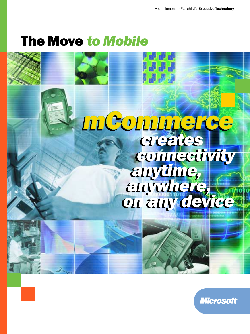# The Move *to Mobile*



**Microsoft**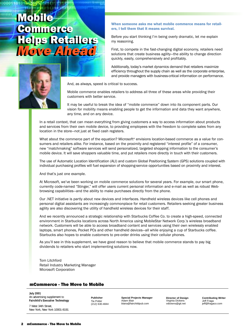# Mobile Mobile Commerce Commerce Helps Retailers Helps Retailers *Move Ahead Move Ahead*



When someone asks me what mobile commerce means for retailers, I tell them that it means survival.

Before you start thinking I'm being overly dramatic, let me explain my reasoning.

First, to compete in the fast-changing digital economy, retailers need solutions that create business agility—the ability to change direction quickly, easily, comprehensively and profitably.

Additionally, today's market dynamics demand that retailers maximize efficiency throughout the supply chain as well as the corporate enterprise, and provide managers with business-critical information on performance.

And, as always, speed is critical to success.

Mobile commerce enables retailers to address all three of these areas while providing their customers with better service.

It may be useful to break the idea of "mobile commerce" down into its component parts. Our vision for mobility means enabling people to get the information and data they want anywhere, any time, and on any device.

In a retail context, that can mean everything from giving customers a way to access information about products and services from their own mobile device, to providing employees with the freedom to complete sales from any location in the store—not just at fixed cash registers.

What about the commerce part of the equation? Microsoft® envisions location-based commerce as a value for consumers and retailers alike. For instance, based on the proximity and registered "interest profile" of a consumer, new "matchmaking" software services will send personalized, targeted shopping information to the consumer's mobile device. It will save shoppers valuable time, and put retailers more directly in touch with their customers.

The use of Automatic Location Identification (ALI) and custom Global Positioning System (GPS) solutions coupled with individual purchasing profiles will fuel expansion of shopping-service opportunities based on proximity and interest.

And that's just one example.

At Microsoft, we've been working on mobile commerce solutions for several years. For example, our smart phone, currently code-named "Stinger," will offer users current personal information and e-mail as well as robust Webbrowsing capabilities—and the ability to make purchases directly from the phone.

Our .NET initiative is partly about new devices and interfaces. Handheld wireless devices like cell phones and personal digital assistants are increasingly commonplace for retail customers. Retailers seeking greater business agility are also discovering the utility of handheld wireless devices for their staff.

And we recently announced a strategic relationship with Starbucks Coffee Co. to create a high-speed, connected environment in Starbucks locations across North America using MobileStar Network Corp.'s wireless broadband network. Customers will be able to access broadband content and services using their own wirelessly enabled laptops, smart phones, Pocket PCs and other handheld devices—all while enjoying a cup of Starbucks coffee. Starbucks also hopes to enable customers to pre-order drinks using their cellular phones.

As you'll see in this supplement, we have good reason to believe that mobile commerce stands to pay big dividends to retailers who start implementing solutions now.

Tom Litchford Retail Industry Marketing Manager Microsoft Corporation

# mCommerce - The Move to Mobile

**July 2001** An advertising supplement to **Fairchild's Executive Technology**

7 West 34th Street, New York, New York 10001-8191 **Publisher** Tia Potter (212) 630-4844

**Special Projects Manager** Adam Blair blaira@fairchildpub.com

**Director of Design** Virginia Dickens vdickens@gti.net

**Contributing Writer** Jeff Fraga jeff@fragaco.com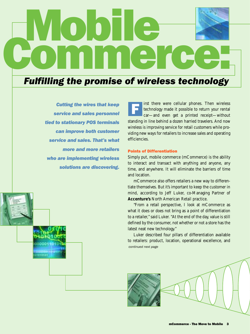# RWODIE C

# *Fulfilling the promise of wireless technology*

*Cutting the wires that keep service and sales personnel tied to stationary POS terminals can improve both customer service and sales. That's what more and more retailers who are implementing wireless solutions are discovering.*



irst there were cellular phones. Then wireless technology made it possible to return your rental car—and even get a printed receipt—without standing in line behind a dozen harried travelers. And now wireless is improving service for retail customers while providing new ways for retailers to increase sales and operating efficiencies. F

# Points of Differentiation

Simply put, mobile commerce (mCommerce) is the ability to interact and transact with anything and anyone, any time, and anywhere. It will eliminate the barriers of time and location.

mCommerce also offers retailers a new way to differentiate themselves. But it's important to keep the customer in mind, according to Jeff Luker, co-Managing Partner of **Accenture's** North American Retail practice.

"From a retail perspective, I look at mCommerce as what it does or does not bring as a point of differentiation to a retailer," said Luker. "At the end of the day, value is still defined by the consumer, not whether or not a store has the latest neat new technology."

Luker described four pillars of differentiation available to retailers: product, location, operational excellence, and *continued next page*

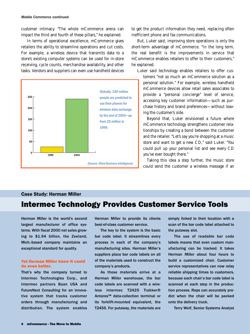customer intimacy. "The whole mCommerce arena can impact the third and fourth of these pillars," he explained.

In terms of operational excellence, mCommerce gives retailers the ability to streamline operations and cut costs. For example, a wireless device that transmits data to a store's existing computer systems can be used for in-store receiving, cycle counts, merchandise availability, and other tasks. Vendors and suppliers can even use handheld devices



to get the product information they need, replacing often inefficient phone and fax communications.

But, Luker said, improving store operations is only the short-term advantage of mCommerce. "In the long term, the real benefit is the improvements in service that mCommerce enables retailers to offer to their customers," he explained.

Luker said technology enables retailers to offer cus-

tomers "not so much an mCommerce solution as a personal solution." For example, wireless handheld mCommerce devices allow retail sales associates to provide a "personal concierge" level of service, accessing key customer information—such as purchase history and brand preferences—without leaving the customer's side.

Beyond that, Luker envisioned a future where mCommerce technology strengthens customer relationships by creating a bond between the customer and the retailer. "Let's say you're shopping at a music store and want to get a new CD," said Luker. "You could pull up your personal list and see every CD you've ever bought there."

Taking this idea a step further, the music store could send the customer a wireless message if an

# Case Study: Herman Miller

# Intermec Technology Provides Customer Service Tools

Herman Miller is the world's second largest manufacturer of office systems. With fiscal 2000 net sales growing to \$1.94 billion, the Zeeland, Mich.-based company maintains an exceptional standard for quality.

### Yet Herman Miller knew it could do even better.

That's why the company turned to Intermec Technologies Corp., and Intermec partners Baan USA and FutureNext Consulting for an innovative system that tracks customer orders through manufacturing and distribution. The system enables Herman Miller to provide its clients best-of-class customer service.

The key to the system is the basic bar code label. It streamlines every process in each of the company's manufacturing sites. Herman Miller's suppliers place bar code labels on all of the materials used to construct the company's products.

As those materials arrive at a Herman Miller warehouse, the bar code labels are scanned with a wireless Intermec T2425 Trakker® Antares™ data-collection terminal or its forklift-mounted equivalent, the T2455. For putaway, the materials are simply linked to their location with a scan of the bar code label attached to the putaway slot.

The use of readable bar code labels means that even custom manufacturing can be tracked. It takes Herman Miller about four hours to build a customized chair. Customer service representatives can now relay reliable shipping times to customers, because each chair's bar code label is scanned at each step in the production process. Reps can accurately predict when the chair will be packed onto the delivery truck.

Terry Wolf, Senior Systems Analyst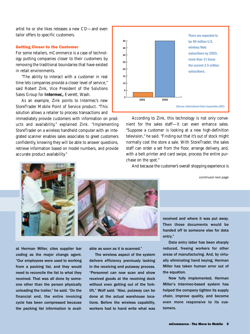artist he or she likes releases a new CD—and even tailor offers to specific customers.

### Getting Closer to the Customer

For some retailers, mCommerce is a case of technology putting companies closer to their customers by removing the traditional boundaries that have existed in retail environments.

"The ability to interact with a customer in real time lets companies provide a closer level of service," said Robert Zink, Vice President of the Solutions Sales Group for **Intermec,** Everett, Wash.

As an example, Zink points to Intermec's new StoreTrader Mobile Point of Service product. "This solution allows a retailer to process transactions and

immediately provide customers with information on products and availability," explained Zink. "Implementing StoreTrader on a wireless handheld computer with an integrated scanner enables sales associates to greet customers confidently, knowing they will be able to answer questions, retrieve information based on model numbers, and provide accurate product availability."



According to Zink, this technology is not only convenient for the sales staff—it can even enhance sales. "Suppose a customer is looking at a new high-definition television," he said. "Finding out that it's out of stock might normally cost the store a sale. With StoreTrader, the sales staff can order a set from the floor, arrange delivery, and, with a belt printer and card swipe, process the entire purchase on the spot."

And because the customer's overall shopping experience is

*continued next page*





at Herman Miller, cites supplier bar coding as the major change agent. "Our employees were used to working from a packing list, and they would need to reconcile the list to what they received. That was all done by someone other than the person physically unloading the trailer," he said. "On the financial end, the entire invoicing cycle has been compressed because the packing list information is available as soon as it is scanned."

The wireless aspect of the system delivers efficiency previously lacking in the receiving and putaway process. "Personnel can now scan and show received goods at the receiving dock without even getting out of the forklift," Wolf said. "Also, putaway can be done at the actual warehouse locations. Before the wireless capability, workers had to hand write what was received and where it was put away. Then those documents would be handed off to someone else for data entry."

Data entry labor has been sharply reduced, freeing workers for other areas of manufacturing. And, by virtually eliminating hand keying, Herman Miller has taken human error out of the equation.

Now fully implemented, Herman Miller's Intermec-based system has helped the company tighten its supply chain, improve quality, and become even more responsive to its customers.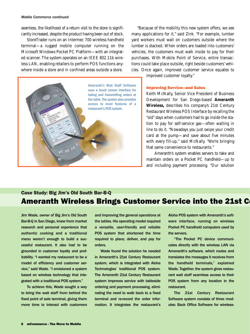### *Mobile Commerce continued*

seamless, the likelihood of a return visit to the store is significantly increased, despite the product having been out of stock.

StoreTrader runs on an Intermec 700 wireless handheld terminal—a rugged mobile computer running on the Microsoft Windows Pocket PC Platform—with an integrated scanner. The system operates on an IEEE 802.11b wireless LAN, enabling retailers to perform POS functions anywhere inside a store and in confined areas outside a store.



"Because of the mobility this new system offers, we see many applications for it," said Zink. "For example, lumber yard workers must wait on customers outside where the lumber is stacked. When orders are loaded into customers' vehicles, the customers must walk inside to pay for their purchases. With Mobile Point of Service, entire transactions could take place outside, right beside customers' vehicles. Once again, improved customer service equates to

improved customer loyalty."

### Improving Service—and Sales

Keith McNally, Senior Vice President of Business Development for San Diego-based **Ameranth Wireless,** describes his company's 21st Century Restaurant Wireless POS Interface by recalling the "old" days when customers had to go inside the station to pay for self-service gas—often waiting in line to do it. "Nowadays you just swipe your credit card at the pump—and save about five minutes with every fill-up," said McNally. "We're bringing that same convenience to restaurants."

Ameranth's system enables servers to take and maintain orders on a Pocket PC handheld—up to and including payment processing. "Our solution

# Ameranth Wireless Brings Customer Service into the 21st C Case Study: Big Jim's Old South Bar-B-Q

Jim Wade, owner of Big Jim's Old South Bar-B-Q in San Diego, knew from market research and personal experience that authentic cooking and a traditional menu weren't enough to build a successful restaurant. It also had to be grounded in customer loyalty and profitability. "I wanted my restaurant to be a model of efficiency and customer service," said Wade. "I envisioned a system based on wireless technology that integrated with a traditional POS system."

To achieve this, Wade sought a way to bring the wait staff from behind the fixed point of sale terminal, giving them more time to interact with customers

and improving the general operations at the tables. His operating model required a versatile, user-friendly and reliable POS system that shortened the time required to place, deliver, and pay for orders.

Wade found the solution he needed in Ameranth's 21st Century Restaurant system, which is integrated with Aloha Technologies' traditional POS system. The Ameranth 21st Century Restaurant system improves service with tableside ordering and payment processing, eliminating the need to walk back to a fixed terminal and re-record the order information. It integrates the restaurant's Aloha POS system with Ameranth's software interface, running on wireless Pocket PC handheld computers used by the servers.

"The Pocket PC device communicates directly with the wireless LAN via Ameranth's software, which routes and translates the messages it receives from the handheld terminals," explained Wade. Together, the system gives restaurant wait staff seamless access to their POS system from any location in the restaurant.

The 21st Century Restaurant Software system consists of three modules: Back Office Software for wireless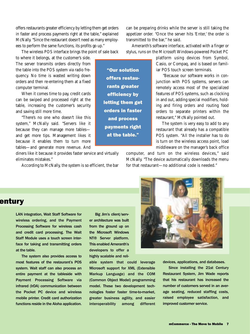offers restaurants greater efficiency by letting them get orders in faster and process payments right at the table," explained McNally. "Since the restaurant doesn't need as many employees to perform the same functions, its profits go up."

The wireless POS interface brings the point of sale back

to where it belongs, at the customer's side. The server transmits orders directly from the table into the POS system via radio frequency. No time is wasted writing down orders and then re-entering them at a fixed computer terminal.

When it comes time to pay, credit cards can be swiped and processed right at the table, increasing the customer's security and saving still more time.

"There's no one who doesn't like this system," McNally said. "Servers like it because they can manage more tables and get more tips. Management likes it because it enables them to turn more tables—and generate more revenue. And

diners like it because it provides faster service and virtually eliminates mistakes."

According to McNally, the system is so efficient, the bar

can be preparing drinks while the server is still taking the appetizer order. "Once the server hits 'Enter,' the order is transmitted to the bar," he said.

Ameranth's software interface, activated with a finger or stylus, runs on the Microsoft Windows-powered Pocket PC

> platform using devices from Symbol, Casio, or Compaq, and is based on familiar POS touch screen terminals.

> "Because our software works in conjunction with POS systems, servers can remotely access most of the specialized features of POS systems, such as clocking in and out, adding special modifiers, holding and firing orders and routing food orders to separate printers within the restaurant," McNally pointed out.

> The system is very easy to add to any restaurant that already has a compatible POS system. "All the installer has to do is turn on the wireless access point, load middleware on the manager's back office

computer, and turn on the wireless devices," said McNally. "The device automatically downloads the menu for that restaurant—no additional code is needed."

entury

LAN integration, Wait Staff Software for wireless ordering, and the Payment Processing Software for wireless cash and credit card processing. The Wait Staff Module uses a touch screen interface for taking and transmitting orders at the table.

The system also provides access to most features of the restaurant's POS system. Wait staff can also process an entire payment at the tableside with Payment Processing Software via infrared (IrDA) communication between the Pocket PC device and wireless mobile printer. Credit card authorization functions reside in the Aloha application.

Big Jim's client/server architecture was built from the ground up on the Microsoft Windows NT® Server platform. This enabled Ameranth's developers to offer a highly scalable and reli-

able system that could leverage Microsoft support for XML (Extensible Markup Language) and the COM (Common Object Model) programming model. These two development technologies foster faster time-to-market, greater business agility, and easier interoperability among different

"Our solution offers restaurants greater efficiency by letting them get orders in faster and process payments right at the table."



devices, applications, and databases.

Since installing the 21st Century Restaurant System, Jim Wade reports that his restaurant has increased the number of customers served in an average seating, reduced staffing costs, raised employee satisfaction, and improved customer service.